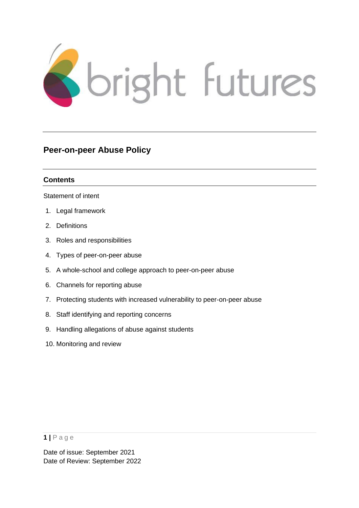

# **Peer-on-peer Abuse Policy**

# **Contents**

[Statement of intent](#page-1-0)

- 1. [Legal framework](#page-2-0)
- 2. [Definitions](#page-2-1)
- 3. Roles and responsibilities
- 4. Types of peer-on-peer abuse
- 5. A whole-school and college approach to peer-on-peer abuse
- 6. Channels for reporting abuse
- 7. Protecting students with increased vulnerability to peer-on-peer abuse
- 8. Staff identifying and reporting concerns
- 9. Handling allegations of abuse against students
- 10. Monitoring and review

## **1 |** P a g e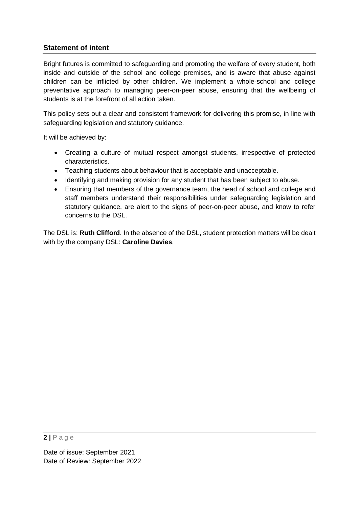# <span id="page-1-0"></span>**Statement of intent**

Bright futures is committed to safeguarding and promoting the welfare of every student, both inside and outside of the school and college premises, and is aware that abuse against children can be inflicted by other children. We implement a whole-school and college preventative approach to managing peer-on-peer abuse, ensuring that the wellbeing of students is at the forefront of all action taken.

This policy sets out a clear and consistent framework for delivering this promise, in line with safeguarding legislation and statutory guidance.

It will be achieved by:

- Creating a culture of mutual respect amongst students, irrespective of protected characteristics.
- Teaching students about behaviour that is acceptable and unacceptable.
- Identifying and making provision for any student that has been subject to abuse.
- Ensuring that members of the governance team, the head of school and college and staff members understand their responsibilities under safeguarding legislation and statutory guidance, are alert to the signs of peer-on-peer abuse, and know to refer concerns to the DSL.

The DSL is: **Ruth Clifford**. In the absence of the DSL, student protection matters will be dealt with by the company DSL: **Caroline Davies**.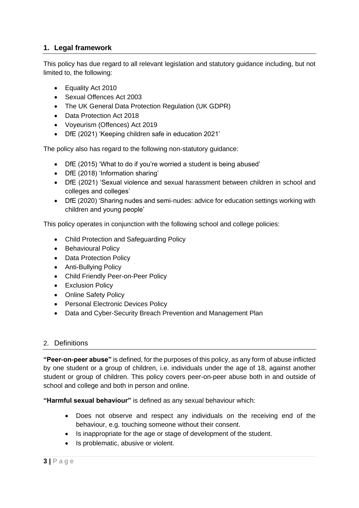# <span id="page-2-0"></span>**1. Legal framework**

This policy has due regard to all relevant legislation and statutory guidance including, but not limited to, the following:

- Equality Act 2010
- Sexual Offences Act 2003
- The UK General Data Protection Regulation (UK GDPR)
- Data Protection Act 2018
- Voyeurism (Offences) Act 2019
- DfE (2021) 'Keeping children safe in education 2021'

The policy also has regard to the following non-statutory guidance:

- DfE (2015) 'What to do if you're worried a student is being abused'
- DfE (2018) 'Information sharing'
- DfE (2021) 'Sexual violence and sexual harassment between children in school and colleges and colleges'
- DfE (2020) 'Sharing nudes and semi-nudes: advice for education settings working with children and young people'

This policy operates in conjunction with the following school and college policies:

- Child Protection and Safeguarding Policy
- Behavioural Policy
- Data Protection Policy
- Anti-Bullying Policy
- Child Friendly Peer-on-Peer Policy
- Exclusion Policy
- Online Safety Policy
- Personal Electronic Devices Policy
- Data and Cyber-Security Breach Prevention and Management Plan

# <span id="page-2-1"></span>2. Definitions

**"Peer-on-peer abuse"** is defined, for the purposes of this policy, as any form of abuse inflicted by one student or a group of children, i.e. individuals under the age of 18, against another student or group of children. This policy covers peer-on-peer abuse both in and outside of school and college and both in person and online.

**"Harmful sexual behaviour"** is defined as any sexual behaviour which:

- Does not observe and respect any individuals on the receiving end of the behaviour, e.g. touching someone without their consent.
- Is inappropriate for the age or stage of development of the student.
- Is problematic, abusive or violent.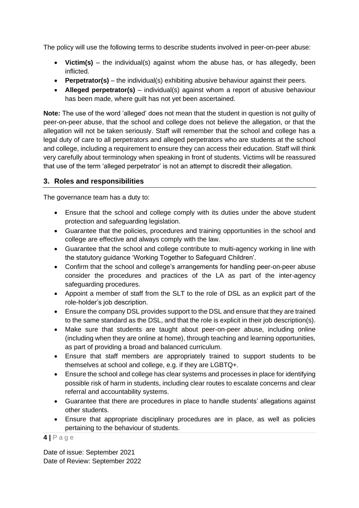The policy will use the following terms to describe students involved in peer-on-peer abuse:

- **Victim(s)** the individual(s) against whom the abuse has, or has allegedly, been inflicted.
- **Perpetrator(s)** the individual(s) exhibiting abusive behaviour against their peers.
- **Alleged perpetrator(s)** individual(s) against whom a report of abusive behaviour has been made, where guilt has not yet been ascertained.

**Note:** The use of the word 'alleged' does not mean that the student in question is not guilty of peer-on-peer abuse, that the school and college does not believe the allegation, or that the allegation will not be taken seriously. Staff will remember that the school and college has a legal duty of care to all perpetrators and alleged perpetrators who are students at the school and college, including a requirement to ensure they can access their education. Staff will think very carefully about terminology when speaking in front of students. Victims will be reassured that use of the term 'alleged perpetrator' is not an attempt to discredit their allegation.

# **3. Roles and responsibilities**

The governance team has a duty to:

- Ensure that the school and college comply with its duties under the above student protection and safeguarding legislation.
- Guarantee that the policies, procedures and training opportunities in the school and college are effective and always comply with the law.
- Guarantee that the school and college contribute to multi-agency working in line with the statutory guidance 'Working Together to Safeguard Children'.
- Confirm that the school and college's arrangements for handling peer-on-peer abuse consider the procedures and practices of the LA as part of the inter-agency safeguarding procedures.
- Appoint a member of staff from the SLT to the role of DSL as an explicit part of the role-holder's job description.
- Ensure the company DSL provides support to the DSL and ensure that they are trained to the same standard as the DSL, and that the role is explicit in their job description(s).
- Make sure that students are taught about peer-on-peer abuse, including online (including when they are online at home), through teaching and learning opportunities, as part of providing a broad and balanced curriculum.
- Ensure that staff members are appropriately trained to support students to be themselves at school and college, e.g. if they are LGBTQ+.
- Ensure the school and college has clear systems and processes in place for identifying possible risk of harm in students, including clear routes to escalate concerns and clear referral and accountability systems.
- Guarantee that there are procedures in place to handle students' allegations against other students.
- Ensure that appropriate disciplinary procedures are in place, as well as policies pertaining to the behaviour of students.

### **4 |** P a g e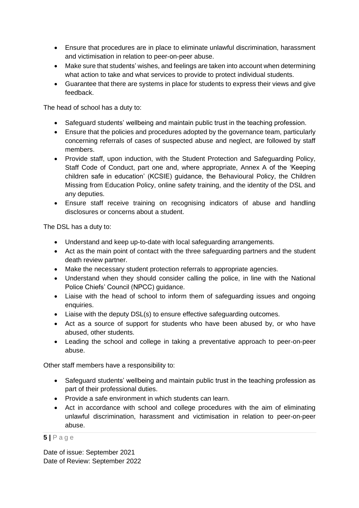- Ensure that procedures are in place to eliminate unlawful discrimination, harassment and victimisation in relation to peer-on-peer abuse.
- Make sure that students' wishes, and feelings are taken into account when determining what action to take and what services to provide to protect individual students.
- Guarantee that there are systems in place for students to express their views and give feedback.

The head of school has a duty to:

- Safeguard students' wellbeing and maintain public trust in the teaching profession.
- Ensure that the policies and procedures adopted by the governance team, particularly concerning referrals of cases of suspected abuse and neglect, are followed by staff members.
- Provide staff, upon induction, with the Student Protection and Safeguarding Policy, Staff Code of Conduct, part one and, where appropriate, Annex A of the 'Keeping children safe in education' (KCSIE) guidance, the Behavioural Policy, the Children Missing from Education Policy, online safety training, and the identity of the DSL and any deputies.
- Ensure staff receive training on recognising indicators of abuse and handling disclosures or concerns about a student.

The DSL has a duty to:

- Understand and keep up-to-date with local safeguarding arrangements.
- Act as the main point of contact with the three safeguarding partners and the student death review partner.
- Make the necessary student protection referrals to appropriate agencies.
- Understand when they should consider calling the police, in line with the National Police Chiefs' Council (NPCC) [guidance.](https://www.npcc.police.uk/documents/Children%20and%20Young%20people/When%20to%20call%20the%20police%20guidance%20for%20schools%20and%20colleges.pdf)
- Liaise with the head of school to inform them of safeguarding issues and ongoing enquiries.
- Liaise with the deputy DSL(s) to ensure effective safeguarding outcomes.
- Act as a source of support for students who have been abused by, or who have abused, other students.
- Leading the school and college in taking a preventative approach to peer-on-peer abuse.

Other staff members have a responsibility to:

- Safeguard students' wellbeing and maintain public trust in the teaching profession as part of their professional duties.
- Provide a safe environment in which students can learn.
- Act in accordance with school and college procedures with the aim of eliminating unlawful discrimination, harassment and victimisation in relation to peer-on-peer abuse.

### **5 |** P a g e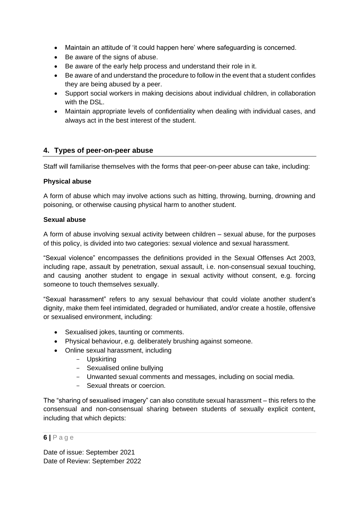- Maintain an attitude of 'it could happen here' where safeguarding is concerned.
- Be aware of the signs of abuse.
- Be aware of the early help process and understand their role in it.
- Be aware of and understand the procedure to follow in the event that a student confides they are being abused by a peer.
- Support social workers in making decisions about individual children, in collaboration with the DSL.
- Maintain appropriate levels of confidentiality when dealing with individual cases, and always act in the best interest of the student.

# **4. Types of peer-on-peer abuse**

Staff will familiarise themselves with the forms that peer-on-peer abuse can take, including:

## **Physical abuse**

A form of abuse which may involve actions such as hitting, throwing, burning, drowning and poisoning, or otherwise causing physical harm to another student.

### **Sexual abuse**

A form of abuse involving sexual activity between children – sexual abuse, for the purposes of this policy, is divided into two categories: sexual violence and sexual harassment.

"Sexual violence" encompasses the definitions provided in the Sexual Offenses Act 2003, including rape, assault by penetration, sexual assault, i.e. non-consensual sexual touching, and causing another student to engage in sexual activity without consent, e.g. forcing someone to touch themselves sexually.

"Sexual harassment" refers to any sexual behaviour that could violate another student's dignity, make them feel intimidated, degraded or humiliated, and/or create a hostile, offensive or sexualised environment, including:

- Sexualised jokes, taunting or comments.
- Physical behaviour, e.g. deliberately brushing against someone.
- Online sexual harassment, including
	- Upskirting
	- Sexualised online bullying
	- Unwanted sexual comments and messages, including on social media.
	- Sexual threats or coercion.

The "sharing of sexualised imagery" can also constitute sexual harassment – this refers to the consensual and non-consensual sharing between students of sexually explicit content, including that which depicts:

### **6 |** P a g e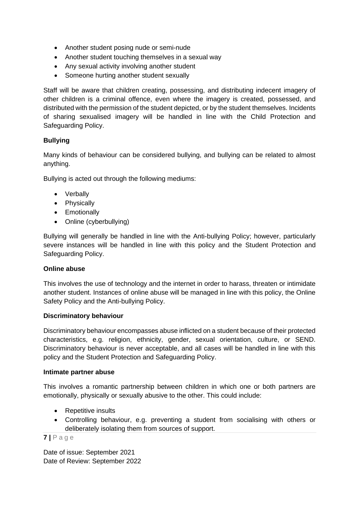- Another student posing nude or semi-nude
- Another student touching themselves in a sexual way
- Any sexual activity involving another student
- Someone hurting another student sexually

Staff will be aware that children creating, possessing, and distributing indecent imagery of other children is a criminal offence, even where the imagery is created, possessed, and distributed with the permission of the student depicted, or by the student themselves. Incidents of sharing sexualised imagery will be handled in line with the Child Protection and Safeguarding Policy.

# **Bullying**

Many kinds of behaviour can be considered bullying, and bullying can be related to almost anything.

Bullying is acted out through the following mediums:

- Verbally
- Physically
- Emotionally
- Online (cyberbullying)

Bullying will generally be handled in line with the Anti-bullying Policy; however, particularly severe instances will be handled in line with this policy and the Student Protection and Safeguarding Policy.

### **Online abuse**

This involves the use of technology and the internet in order to harass, threaten or intimidate another student. Instances of online abuse will be managed in line with this policy, the Online Safety Policy and the Anti-bullying Policy.

### **Discriminatory behaviour**

Discriminatory behaviour encompasses abuse inflicted on a student because of their protected characteristics, e.g. religion, ethnicity, gender, sexual orientation, culture, or SEND. Discriminatory behaviour is never acceptable, and all cases will be handled in line with this policy and the Student Protection and Safeguarding Policy.

### **Intimate partner abuse**

This involves a romantic partnership between children in which one or both partners are emotionally, physically or sexually abusive to the other. This could include:

- Repetitive insults
- Controlling behaviour, e.g. preventing a student from socialising with others or deliberately isolating them from sources of support.

# **7 |** P a g e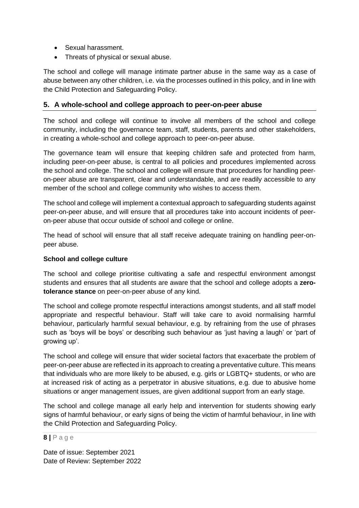- Sexual harassment.
- Threats of physical or sexual abuse.

The school and college will manage intimate partner abuse in the same way as a case of abuse between any other children, i.e. via the processes outlined in this policy, and in line with the Child Protection and Safeguarding Policy.

## **5. A whole-school and college approach to peer-on-peer abuse**

The school and college will continue to involve all members of the school and college community, including the governance team, staff, students, parents and other stakeholders, in creating a whole-school and college approach to peer-on-peer abuse.

The governance team will ensure that keeping children safe and protected from harm, including peer-on-peer abuse, is central to all policies and procedures implemented across the school and college. The school and college will ensure that procedures for handling peeron-peer abuse are transparent, clear and understandable, and are readily accessible to any member of the school and college community who wishes to access them.

The school and college will implement a contextual approach to safeguarding students against peer-on-peer abuse, and will ensure that all procedures take into account incidents of peeron-peer abuse that occur outside of school and college or online.

The head of school will ensure that all staff receive adequate training on handling peer-onpeer abuse.

### **School and college culture**

The school and college prioritise cultivating a safe and respectful environment amongst students and ensures that all students are aware that the school and college adopts a **zerotolerance stance** on peer-on-peer abuse of any kind.

The school and college promote respectful interactions amongst students, and all staff model appropriate and respectful behaviour. Staff will take care to avoid normalising harmful behaviour, particularly harmful sexual behaviour, e.g. by refraining from the use of phrases such as 'boys will be boys' or describing such behaviour as 'just having a laugh' or 'part of growing up'.

The school and college will ensure that wider societal factors that exacerbate the problem of peer-on-peer abuse are reflected in its approach to creating a preventative culture. This means that individuals who are more likely to be abused, e.g. girls or LGBTQ+ students, or who are at increased risk of acting as a perpetrator in abusive situations, e.g. due to abusive home situations or anger management issues, are given additional support from an early stage.

The school and college manage all early help and intervention for students showing early signs of harmful behaviour, or early signs of being the victim of harmful behaviour, in line with the Child Protection and Safeguarding Policy.

### **8 |** P a g e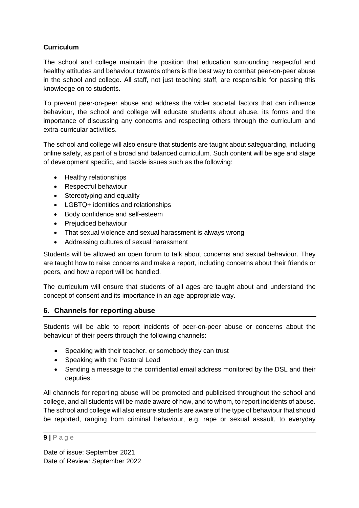# **Curriculum**

The school and college maintain the position that education surrounding respectful and healthy attitudes and behaviour towards others is the best way to combat peer-on-peer abuse in the school and college. All staff, not just teaching staff, are responsible for passing this knowledge on to students.

To prevent peer-on-peer abuse and address the wider societal factors that can influence behaviour, the school and college will educate students about abuse, its forms and the importance of discussing any concerns and respecting others through the curriculum and extra-curricular activities.

The school and college will also ensure that students are taught about safeguarding, including online safety, as part of a broad and balanced curriculum. Such content will be age and stage of development specific, and tackle issues such as the following:

- Healthy relationships
- Respectful behaviour
- Stereotyping and equality
- LGBTQ+ identities and relationships
- Body confidence and self-esteem
- Prejudiced behaviour
- That sexual violence and sexual harassment is always wrong
- Addressing cultures of sexual harassment

Students will be allowed an open forum to talk about concerns and sexual behaviour. They are taught how to raise concerns and make a report, including concerns about their friends or peers, and how a report will be handled.

The curriculum will ensure that students of all ages are taught about and understand the concept of consent and its importance in an age-appropriate way.

# **6. Channels for reporting abuse**

Students will be able to report incidents of peer-on-peer abuse or concerns about the behaviour of their peers through the following channels:

- Speaking with their teacher, or somebody they can trust
- Speaking with the Pastoral Lead
- Sending a message to the confidential email address monitored by the DSL and their deputies.

All channels for reporting abuse will be promoted and publicised throughout the school and college, and all students will be made aware of how, and to whom, to report incidents of abuse. The school and college will also ensure students are aware of the type of behaviour that should be reported, ranging from criminal behaviour, e.g. rape or sexual assault, to everyday

# **9 |** P a g e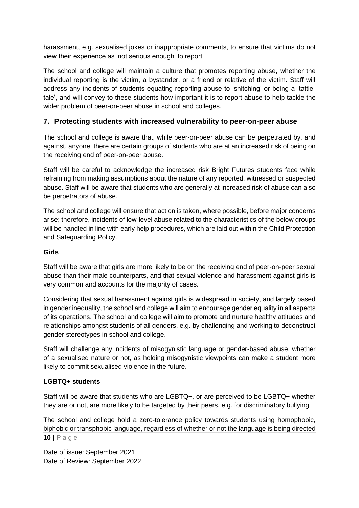harassment, e.g. sexualised jokes or inappropriate comments, to ensure that victims do not view their experience as 'not serious enough' to report.

The school and college will maintain a culture that promotes reporting abuse, whether the individual reporting is the victim, a bystander, or a friend or relative of the victim. Staff will address any incidents of students equating reporting abuse to 'snitching' or being a 'tattletale', and will convey to these students how important it is to report abuse to help tackle the wider problem of peer-on-peer abuse in school and colleges.

# **7. Protecting students with increased vulnerability to peer-on-peer abuse**

The school and college is aware that, while peer-on-peer abuse can be perpetrated by, and against, anyone, there are certain groups of students who are at an increased risk of being on the receiving end of peer-on-peer abuse.

Staff will be careful to acknowledge the increased risk Bright Futures students face while refraining from making assumptions about the nature of any reported, witnessed or suspected abuse. Staff will be aware that students who are generally at increased risk of abuse can also be perpetrators of abuse.

The school and college will ensure that action is taken, where possible, before major concerns arise; therefore, incidents of low-level abuse related to the characteristics of the below groups will be handled in line with early help procedures, which are laid out within the Child Protection and Safeguarding Policy.

### **Girls**

Staff will be aware that girls are more likely to be on the receiving end of peer-on-peer sexual abuse than their male counterparts, and that sexual violence and harassment against girls is very common and accounts for the majority of cases.

Considering that sexual harassment against girls is widespread in society, and largely based in gender inequality, the school and college will aim to encourage gender equality in all aspects of its operations. The school and college will aim to promote and nurture healthy attitudes and relationships amongst students of all genders, e.g. by challenging and working to deconstruct gender stereotypes in school and college.

Staff will challenge any incidents of misogynistic language or gender-based abuse, whether of a sexualised nature or not, as holding misogynistic viewpoints can make a student more likely to commit sexualised violence in the future.

# **LGBTQ+ students**

Staff will be aware that students who are LGBTQ+, or are perceived to be LGBTQ+ whether they are or not, are more likely to be targeted by their peers, e.g. for discriminatory bullying.

**10 |** P a g e The school and college hold a zero-tolerance policy towards students using homophobic, biphobic or transphobic language, regardless of whether or not the language is being directed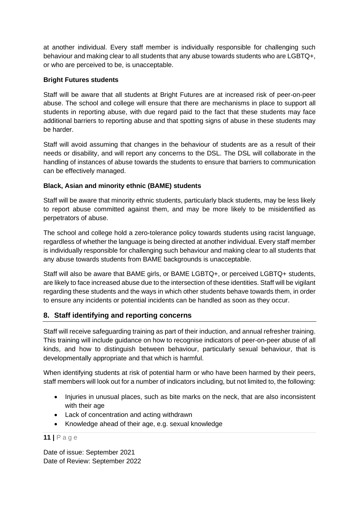at another individual. Every staff member is individually responsible for challenging such behaviour and making clear to all students that any abuse towards students who are LGBTQ+, or who are perceived to be, is unacceptable.

## **Bright Futures students**

Staff will be aware that all students at Bright Futures are at increased risk of peer-on-peer abuse. The school and college will ensure that there are mechanisms in place to support all students in reporting abuse, with due regard paid to the fact that these students may face additional barriers to reporting abuse and that spotting signs of abuse in these students may be harder.

Staff will avoid assuming that changes in the behaviour of students are as a result of their needs or disability, and will report any concerns to the DSL. The DSL will collaborate in the handling of instances of abuse towards the students to ensure that barriers to communication can be effectively managed.

## **Black, Asian and minority ethnic (BAME) students**

Staff will be aware that minority ethnic students, particularly black students, may be less likely to report abuse committed against them, and may be more likely to be misidentified as perpetrators of abuse.

The school and college hold a zero-tolerance policy towards students using racist language, regardless of whether the language is being directed at another individual. Every staff member is individually responsible for challenging such behaviour and making clear to all students that any abuse towards students from BAME backgrounds is unacceptable.

Staff will also be aware that BAME girls, or BAME LGBTQ+, or perceived LGBTQ+ students, are likely to face increased abuse due to the intersection of these identities. Staff will be vigilant regarding these students and the ways in which other students behave towards them, in order to ensure any incidents or potential incidents can be handled as soon as they occur.

# **8. Staff identifying and reporting concerns**

Staff will receive safeguarding training as part of their induction, and annual refresher training. This training will include guidance on how to recognise indicators of peer-on-peer abuse of all kinds, and how to distinguish between behaviour, particularly sexual behaviour, that is developmentally appropriate and that which is harmful.

When identifying students at risk of potential harm or who have been harmed by their peers, staff members will look out for a number of indicators including, but not limited to, the following:

- Injuries in unusual places, such as bite marks on the neck, that are also inconsistent with their age
- Lack of concentration and acting withdrawn
- Knowledge ahead of their age, e.g. sexual knowledge

# **11 |** P a g e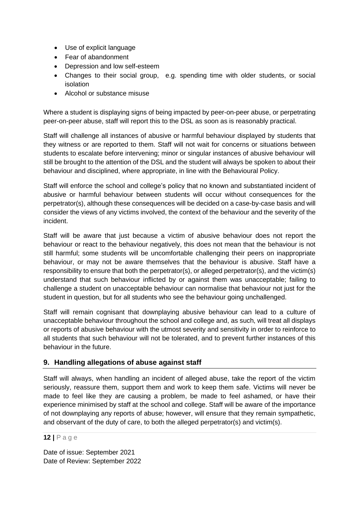- Use of explicit language
- Fear of abandonment
- Depression and low self-esteem
- Changes to their social group, e.g. spending time with older students, or social isolation
- Alcohol or substance misuse

Where a student is displaying signs of being impacted by peer-on-peer abuse, or perpetrating peer-on-peer abuse, staff will report this to the DSL as soon as is reasonably practical.

Staff will challenge all instances of abusive or harmful behaviour displayed by students that they witness or are reported to them. Staff will not wait for concerns or situations between students to escalate before intervening; minor or singular instances of abusive behaviour will still be brought to the attention of the DSL and the student will always be spoken to about their behaviour and disciplined, where appropriate, in line with the Behavioural Policy.

Staff will enforce the school and college's policy that no known and substantiated incident of abusive or harmful behaviour between students will occur without consequences for the perpetrator(s), although these consequences will be decided on a case-by-case basis and will consider the views of any victims involved, the context of the behaviour and the severity of the incident.

Staff will be aware that just because a victim of abusive behaviour does not report the behaviour or react to the behaviour negatively, this does not mean that the behaviour is not still harmful; some students will be uncomfortable challenging their peers on inappropriate behaviour, or may not be aware themselves that the behaviour is abusive. Staff have a responsibility to ensure that both the perpetrator(s), or alleged perpetrator(s), and the victim(s) understand that such behaviour inflicted by or against them was unacceptable; failing to challenge a student on unacceptable behaviour can normalise that behaviour not just for the student in question, but for all students who see the behaviour going unchallenged.

Staff will remain cognisant that downplaying abusive behaviour can lead to a culture of unacceptable behaviour throughout the school and college and, as such, will treat all displays or reports of abusive behaviour with the utmost severity and sensitivity in order to reinforce to all students that such behaviour will not be tolerated, and to prevent further instances of this behaviour in the future.

# **9. Handling allegations of abuse against staff**

Staff will always, when handling an incident of alleged abuse, take the report of the victim seriously, reassure them, support them and work to keep them safe. Victims will never be made to feel like they are causing a problem, be made to feel ashamed, or have their experience minimised by staff at the school and college. Staff will be aware of the importance of not downplaying any reports of abuse; however, will ensure that they remain sympathetic, and observant of the duty of care, to both the alleged perpetrator(s) and victim(s).

**12 |** P a g e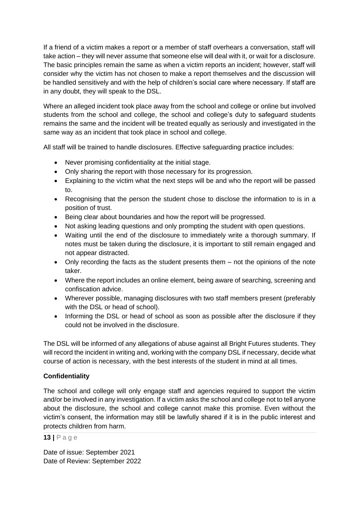If a friend of a victim makes a report or a member of staff overhears a conversation, staff will take action – they will never assume that someone else will deal with it, or wait for a disclosure. The basic principles remain the same as when a victim reports an incident; however, staff will consider why the victim has not chosen to make a report themselves and the discussion will be handled sensitively and with the help of children's social care where necessary. If staff are in any doubt, they will speak to the DSL.

Where an alleged incident took place away from the school and college or online but involved students from the school and college, the school and college's duty to safeguard students remains the same and the incident will be treated equally as seriously and investigated in the same way as an incident that took place in school and college.

All staff will be trained to handle disclosures. Effective safeguarding practice includes:

- Never promising confidentiality at the initial stage.
- Only sharing the report with those necessary for its progression.
- Explaining to the victim what the next steps will be and who the report will be passed to.
- Recognising that the person the student chose to disclose the information to is in a position of trust.
- Being clear about boundaries and how the report will be progressed.
- Not asking leading questions and only prompting the student with open questions.
- Waiting until the end of the disclosure to immediately write a thorough summary. If notes must be taken during the disclosure, it is important to still remain engaged and not appear distracted.
- Only recording the facts as the student presents them not the opinions of the note taker.
- Where the report includes an online element, being aware of searching, screening and confiscation advice.
- Wherever possible, managing disclosures with two staff members present (preferably with the DSL or head of school).
- Informing the DSL or head of school as soon as possible after the disclosure if they could not be involved in the disclosure.

The DSL will be informed of any allegations of abuse against all Bright Futures students. They will record the incident in writing and, working with the company DSL if necessary, decide what course of action is necessary, with the best interests of the student in mind at all times.

# **Confidentiality**

The school and college will only engage staff and agencies required to support the victim and/or be involved in any investigation. If a victim asks the school and college not to tell anyone about the disclosure, the school and college cannot make this promise. Even without the victim's consent, the information may still be lawfully shared if it is in the public interest and protects children from harm.

### **13 |** P a g e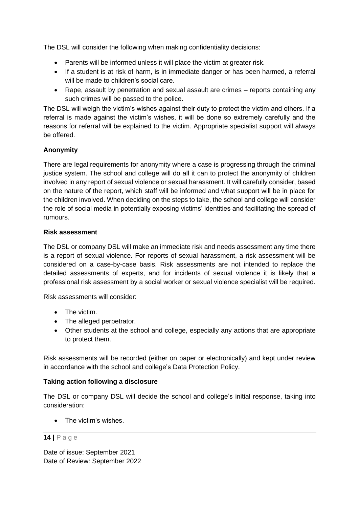The DSL will consider the following when making confidentiality decisions:

- Parents will be informed unless it will place the victim at greater risk.
- If a student is at risk of harm, is in immediate danger or has been harmed, a referral will be made to children's social care.
- Rape, assault by penetration and sexual assault are crimes reports containing any such crimes will be passed to the police.

The DSL will weigh the victim's wishes against their duty to protect the victim and others. If a referral is made against the victim's wishes, it will be done so extremely carefully and the reasons for referral will be explained to the victim. Appropriate specialist support will always be offered.

# **Anonymity**

There are legal requirements for anonymity where a case is progressing through the criminal justice system. The school and college will do all it can to protect the anonymity of children involved in any report of sexual violence or sexual harassment. It will carefully consider, based on the nature of the report, which staff will be informed and what support will be in place for the children involved. When deciding on the steps to take, the school and college will consider the role of social media in potentially exposing victims' identities and facilitating the spread of rumours.

## **Risk assessment**

The DSL or company DSL will make an immediate risk and needs assessment any time there is a report of sexual violence. For reports of sexual harassment, a risk assessment will be considered on a case-by-case basis. Risk assessments are not intended to replace the detailed assessments of experts, and for incidents of sexual violence it is likely that a professional risk assessment by a social worker or sexual violence specialist will be required.

Risk assessments will consider:

- The victim.
- The alleged perpetrator.
- Other students at the school and college, especially any actions that are appropriate to protect them.

Risk assessments will be recorded (either on paper or electronically) and kept under review in accordance with the school and college's Data Protection Policy.

# **Taking action following a disclosure**

The DSL or company DSL will decide the school and college's initial response, taking into consideration:

• The victim's wishes

### **14 |** P a g e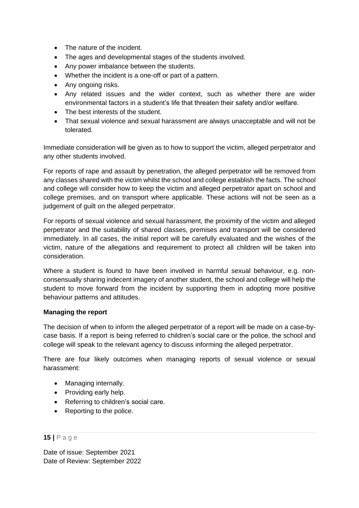- The nature of the incident.
- The ages and developmental stages of the students involved.
- Any power imbalance between the students.
- Whether the incident is a one-off or part of a pattern.
- Any ongoing risks.
- Any related issues and the wider context, such as whether there are wider environmental factors in a student's life that threaten their safety and/or welfare.
- The best interests of the student.
- That sexual violence and sexual harassment are always unacceptable and will not be tolerated.

Immediate consideration will be given as to how to support the victim, alleged perpetrator and any other students involved.

For reports of rape and assault by penetration, the alleged perpetrator will be removed from any classes shared with the victim whilst the school and college establish the facts. The school and college will consider how to keep the victim and alleged perpetrator apart on school and college premises, and on transport where applicable. These actions will not be seen as a judgement of guilt on the alleged perpetrator.

For reports of sexual violence and sexual harassment, the proximity of the victim and alleged perpetrator and the suitability of shared classes, premises and transport will be considered immediately. In all cases, the initial report will be carefully evaluated and the wishes of the victim, nature of the allegations and requirement to protect all children will be taken into consideration.

Where a student is found to have been involved in harmful sexual behaviour, e.g. nonconsensually sharing indecent imagery of another student, the school and college will help the student to move forward from the incident by supporting them in adopting more positive behaviour patterns and attitudes.

### **Managing the report**

The decision of when to inform the alleged perpetrator of a report will be made on a case-bycase basis. If a report is being referred to children's social care or the police, the school and college will speak to the relevant agency to discuss informing the alleged perpetrator.

There are four likely outcomes when managing reports of sexual violence or sexual harassment:

- Managing internally.
- Providing early help.
- Referring to children's social care.
- Reporting to the police.

## **15 |** P a g e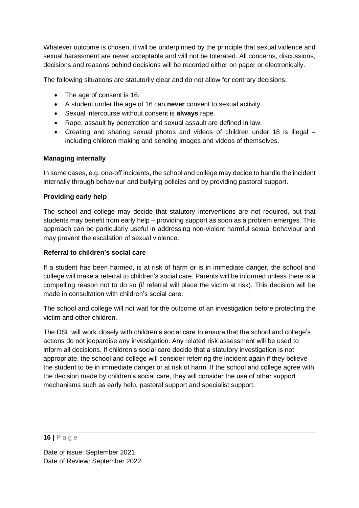Whatever outcome is chosen, it will be underpinned by the principle that sexual violence and sexual harassment are never acceptable and will not be tolerated. All concerns, discussions, decisions and reasons behind decisions will be recorded either on paper or electronically.

The following situations are statutorily clear and do not allow for contrary decisions:

- The age of consent is 16.
- A student under the age of 16 can **never** consent to sexual activity.
- Sexual intercourse without consent is **always** rape.
- Rape, assault by penetration and sexual assault are defined in law.
- Creating and sharing sexual photos and videos of children under 18 is illegal including children making and sending images and videos of themselves.

# **Managing internally**

In some cases, e.g. one-off incidents, the school and college may decide to handle the incident internally through behaviour and bullying policies and by providing pastoral support.

## **Providing early help**

The school and college may decide that statutory interventions are not required, but that students may benefit from early help – providing support as soon as a problem emerges. This approach can be particularly useful in addressing non-violent harmful sexual behaviour and may prevent the escalation of sexual violence.

## **Referral to children's social care**

If a student has been harmed, is at risk of harm or is in immediate danger, the school and college will make a referral to children's social care. Parents will be informed unless there is a compelling reason not to do so (if referral will place the victim at risk). This decision will be made in consultation with children's social care.

The school and college will not wait for the outcome of an investigation before protecting the victim and other children.

The DSL will work closely with children's social care to ensure that the school and college's actions do not jeopardise any investigation. Any related risk assessment will be used to inform all decisions. If children's social care decide that a statutory investigation is not appropriate, the school and college will consider referring the incident again if they believe the student to be in immediate danger or at risk of harm. If the school and college agree with the decision made by children's social care, they will consider the use of other support mechanisms such as early help, pastoral support and specialist support.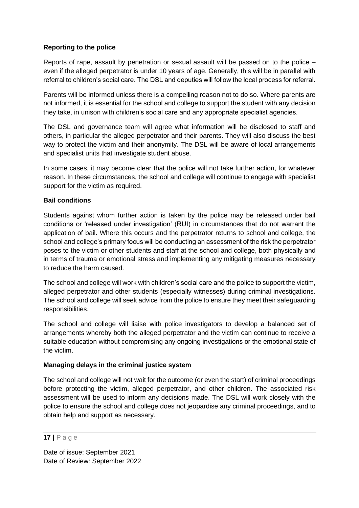## **Reporting to the police**

Reports of rape, assault by penetration or sexual assault will be passed on to the police – even if the alleged perpetrator is under 10 years of age. Generally, this will be in parallel with referral to children's social care. The DSL and deputies will follow the local process for referral.

Parents will be informed unless there is a compelling reason not to do so. Where parents are not informed, it is essential for the school and college to support the student with any decision they take, in unison with children's social care and any appropriate specialist agencies.

The DSL and governance team will agree what information will be disclosed to staff and others, in particular the alleged perpetrator and their parents. They will also discuss the best way to protect the victim and their anonymity. The DSL will be aware of local arrangements and specialist units that investigate student abuse.

In some cases, it may become clear that the police will not take further action, for whatever reason. In these circumstances, the school and college will continue to engage with specialist support for the victim as required.

## **Bail conditions**

Students against whom further action is taken by the police may be released under bail conditions or 'released under investigation' (RUI) in circumstances that do not warrant the application of bail. Where this occurs and the perpetrator returns to school and college, the school and college's primary focus will be conducting an assessment of the risk the perpetrator poses to the victim or other students and staff at the school and college, both physically and in terms of trauma or emotional stress and implementing any mitigating measures necessary to reduce the harm caused.

The school and college will work with children's social care and the police to support the victim, alleged perpetrator and other students (especially witnesses) during criminal investigations. The school and college will seek advice from the police to ensure they meet their safeguarding responsibilities.

The school and college will liaise with police investigators to develop a balanced set of arrangements whereby both the alleged perpetrator and the victim can continue to receive a suitable education without compromising any ongoing investigations or the emotional state of the victim.

### **Managing delays in the criminal justice system**

The school and college will not wait for the outcome (or even the start) of criminal proceedings before protecting the victim, alleged perpetrator, and other children. The associated risk assessment will be used to inform any decisions made. The DSL will work closely with the police to ensure the school and college does not jeopardise any criminal proceedings, and to obtain help and support as necessary.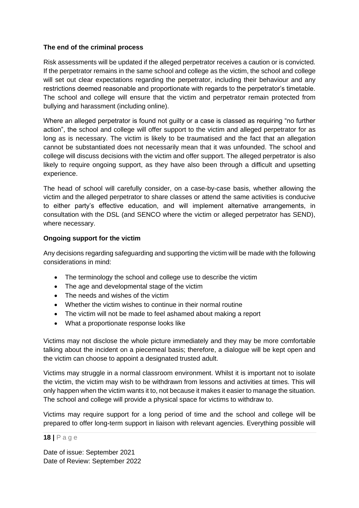### **The end of the criminal process**

Risk assessments will be updated if the alleged perpetrator receives a caution or is convicted. If the perpetrator remains in the same school and college as the victim, the school and college will set out clear expectations regarding the perpetrator, including their behaviour and any restrictions deemed reasonable and proportionate with regards to the perpetrator's timetable. The school and college will ensure that the victim and perpetrator remain protected from bullying and harassment (including online).

Where an alleged perpetrator is found not guilty or a case is classed as requiring "no further action", the school and college will offer support to the victim and alleged perpetrator for as long as is necessary. The victim is likely to be traumatised and the fact that an allegation cannot be substantiated does not necessarily mean that it was unfounded. The school and college will discuss decisions with the victim and offer support. The alleged perpetrator is also likely to require ongoing support, as they have also been through a difficult and upsetting experience.

The head of school will carefully consider, on a case-by-case basis, whether allowing the victim and the alleged perpetrator to share classes or attend the same activities is conducive to either party's effective education, and will implement alternative arrangements, in consultation with the DSL (and SENCO where the victim or alleged perpetrator has SEND), where necessary.

### **Ongoing support for the victim**

Any decisions regarding safeguarding and supporting the victim will be made with the following considerations in mind:

- The terminology the school and college use to describe the victim
- The age and developmental stage of the victim
- The needs and wishes of the victim
- Whether the victim wishes to continue in their normal routine
- The victim will not be made to feel ashamed about making a report
- What a proportionate response looks like

Victims may not disclose the whole picture immediately and they may be more comfortable talking about the incident on a piecemeal basis; therefore, a dialogue will be kept open and the victim can choose to appoint a designated trusted adult.

Victims may struggle in a normal classroom environment. Whilst it is important not to isolate the victim, the victim may wish to be withdrawn from lessons and activities at times. This will only happen when the victim wants it to, not because it makes it easier to manage the situation. The school and college will provide a physical space for victims to withdraw to.

Victims may require support for a long period of time and the school and college will be prepared to offer long-term support in liaison with relevant agencies. Everything possible will

#### **18 |** P a g e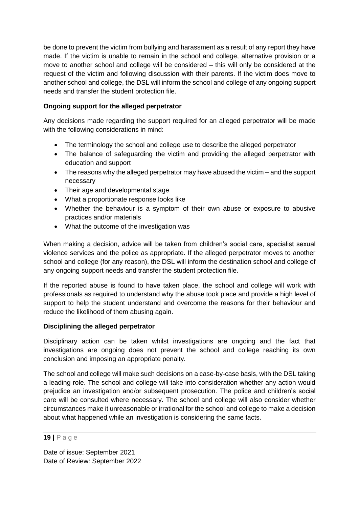be done to prevent the victim from bullying and harassment as a result of any report they have made. If the victim is unable to remain in the school and college, alternative provision or a move to another school and college will be considered – this will only be considered at the request of the victim and following discussion with their parents. If the victim does move to another school and college, the DSL will inform the school and college of any ongoing support needs and transfer the student protection file.

# **Ongoing support for the alleged perpetrator**

Any decisions made regarding the support required for an alleged perpetrator will be made with the following considerations in mind:

- The terminology the school and college use to describe the alleged perpetrator
- The balance of safeguarding the victim and providing the alleged perpetrator with education and support
- The reasons why the alleged perpetrator may have abused the victim and the support necessary
- Their age and developmental stage
- What a proportionate response looks like
- Whether the behaviour is a symptom of their own abuse or exposure to abusive practices and/or materials
- What the outcome of the investigation was

When making a decision, advice will be taken from children's social care, specialist sexual violence services and the police as appropriate. If the alleged perpetrator moves to another school and college (for any reason), the DSL will inform the destination school and college of any ongoing support needs and transfer the student protection file.

If the reported abuse is found to have taken place, the school and college will work with professionals as required to understand why the abuse took place and provide a high level of support to help the student understand and overcome the reasons for their behaviour and reduce the likelihood of them abusing again.

# **Disciplining the alleged perpetrator**

Disciplinary action can be taken whilst investigations are ongoing and the fact that investigations are ongoing does not prevent the school and college reaching its own conclusion and imposing an appropriate penalty.

The school and college will make such decisions on a case-by-case basis, with the DSL taking a leading role. The school and college will take into consideration whether any action would prejudice an investigation and/or subsequent prosecution. The police and children's social care will be consulted where necessary. The school and college will also consider whether circumstances make it unreasonable or irrational for the school and college to make a decision about what happened while an investigation is considering the same facts.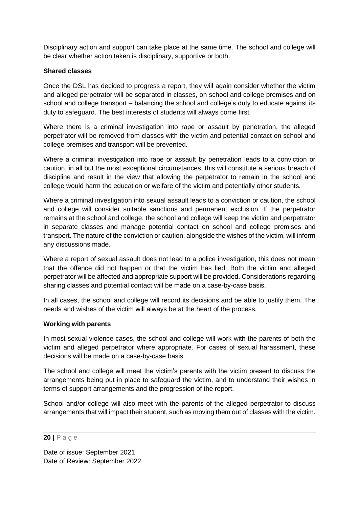Disciplinary action and support can take place at the same time. The school and college will be clear whether action taken is disciplinary, supportive or both.

## **Shared classes**

Once the DSL has decided to progress a report, they will again consider whether the victim and alleged perpetrator will be separated in classes, on school and college premises and on school and college transport – balancing the school and college's duty to educate against its duty to safeguard. The best interests of students will always come first.

Where there is a criminal investigation into rape or assault by penetration, the alleged perpetrator will be removed from classes with the victim and potential contact on school and college premises and transport will be prevented.

Where a criminal investigation into rape or assault by penetration leads to a conviction or caution, in all but the most exceptional circumstances, this will constitute a serious breach of discipline and result in the view that allowing the perpetrator to remain in the school and college would harm the education or welfare of the victim and potentially other students.

Where a criminal investigation into sexual assault leads to a conviction or caution, the school and college will consider suitable sanctions and permanent exclusion. If the perpetrator remains at the school and college, the school and college will keep the victim and perpetrator in separate classes and manage potential contact on school and college premises and transport. The nature of the conviction or caution, alongside the wishes of the victim, will inform any discussions made.

Where a report of sexual assault does not lead to a police investigation, this does not mean that the offence did not happen or that the victim has lied. Both the victim and alleged perpetrator will be affected and appropriate support will be provided. Considerations regarding sharing classes and potential contact will be made on a case-by-case basis.

In all cases, the school and college will record its decisions and be able to justify them. The needs and wishes of the victim will always be at the heart of the process.

### **Working with parents**

In most sexual violence cases, the school and college will work with the parents of both the victim and alleged perpetrator where appropriate. For cases of sexual harassment, these decisions will be made on a case-by-case basis.

The school and college will meet the victim's parents with the victim present to discuss the arrangements being put in place to safeguard the victim, and to understand their wishes in terms of support arrangements and the progression of the report.

School and/or college will also meet with the parents of the alleged perpetrator to discuss arrangements that will impact their student, such as moving them out of classes with the victim.